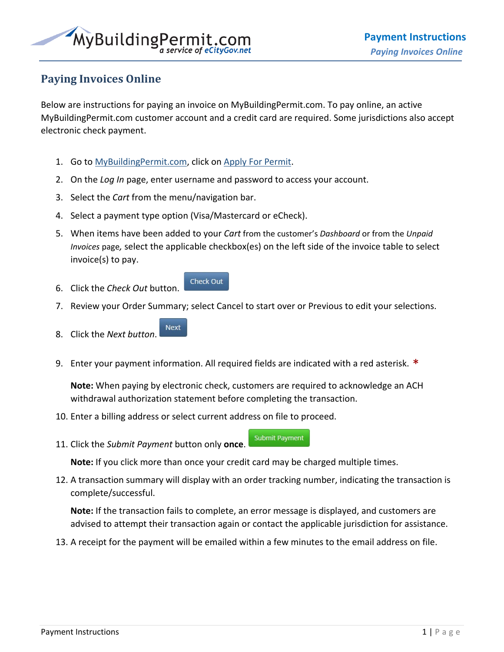

## **Paying Invoices Online**

Below are instructions for paying an invoice on MyBuildingPermit.com. To pay online, an active MyBuildingPermit.com customer account and a credit card are required. Some jurisdictions also accept electronic check payment.

- 1. Go to [MyBuildingPermit.com,](https://mybuildingpermit.com/) click on [Apply For Permit.](https://epermit.mybuildingpermit.com/Default)
- 2. On the *Log In* page, enter username and password to access your account.

**Check Out** 

- 3. Select the *Cart* from the menu/navigation bar.
- 4. Select a payment type option (Visa/Mastercard or eCheck).
- 5. When items have been added to your *Cart* from the customer's *Dashboard* or from the *Unpaid Invoices* page*,* select the applicable checkbox(es) on the left side of the invoice table to select invoice(s) to pay.
- 6. Click the *Check Out* button.
- 7. Review your Order Summary; select Cancel to start over or Previous to edit your selections.
- Next 8. Click the *Next button*.
- 9. Enter your payment information. All required fields are indicated with a red asterisk.  $*$

**Note:** When paying by electronic check, customers are required to acknowledge an ACH withdrawal authorization statement before completing the transaction.

- 10. Enter a billing address or select current address on file to proceed.
- **Submit Payment** 11. Click the *Submit Payment* button only **once**.

**Note:** If you click more than once your credit card may be charged multiple times.

12. A transaction summary will display with an order tracking number, indicating the transaction is complete/successful.

**Note:** If the transaction fails to complete, an error message is displayed, and customers are advised to attempt their transaction again or contact the applicable jurisdiction for assistance.

13. A receipt for the payment will be emailed within a few minutes to the email address on file.